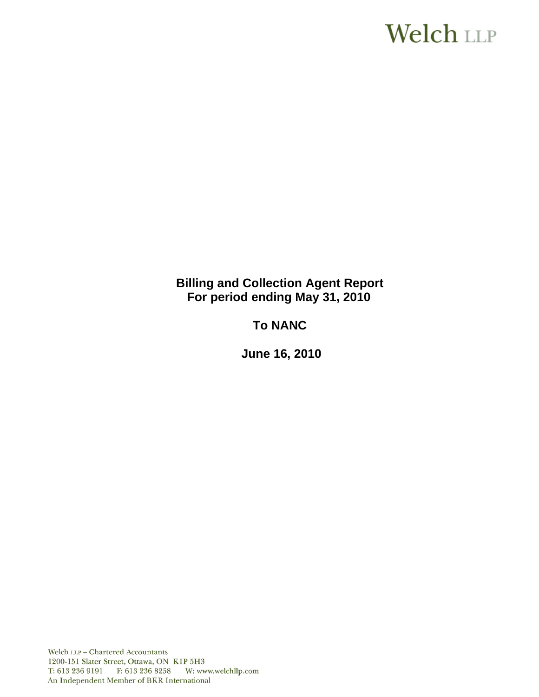# Welch LLP

### **Billing and Collection Agent Report For period ending May 31, 2010**

## **To NANC**

 **June 16, 2010**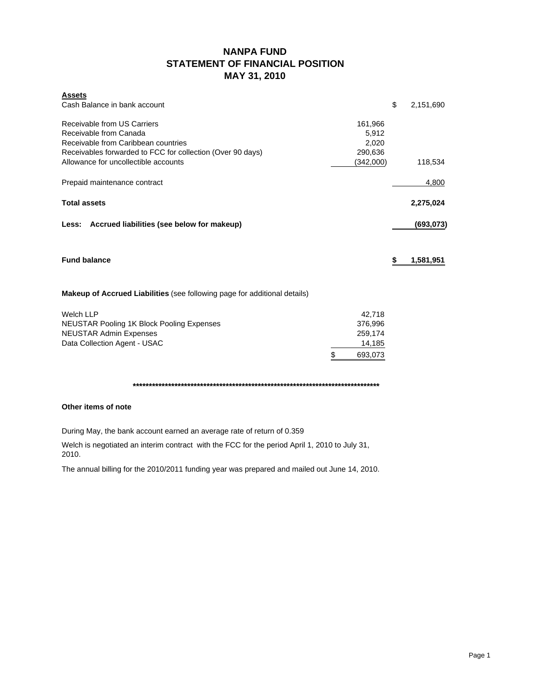### **NANPA FUND STATEMENT OF FINANCIAL POSITION MAY 31, 2010**

| <b>Assets</b>                                                             |               |                 |
|---------------------------------------------------------------------------|---------------|-----------------|
| Cash Balance in bank account                                              |               | \$<br>2,151,690 |
| Receivable from US Carriers                                               | 161,966       |                 |
| Receivable from Canada                                                    | 5,912         |                 |
| Receivable from Caribbean countries                                       | 2,020         |                 |
| Receivables forwarded to FCC for collection (Over 90 days)                | 290,636       |                 |
| Allowance for uncollectible accounts                                      | (342,000)     | 118,534         |
| Prepaid maintenance contract                                              |               | 4,800           |
| <b>Total assets</b>                                                       |               | 2,275,024       |
| Less: Accrued liabilities (see below for makeup)                          |               | (693, 073)      |
| <b>Fund balance</b>                                                       |               | \$<br>1,581,951 |
| Makeup of Accrued Liabilities (see following page for additional details) |               |                 |
| <b>Welch LLP</b>                                                          | 42,718        |                 |
| <b>NEUSTAR Pooling 1K Block Pooling Expenses</b>                          | 376,996       |                 |
| <b>NEUSTAR Admin Expenses</b>                                             | 259,174       |                 |
| Data Collection Agent - USAC                                              | 14,185        |                 |
|                                                                           | \$<br>693.073 |                 |

**\*\*\*\*\*\*\*\*\*\*\*\*\*\*\*\*\*\*\*\*\*\*\*\*\*\*\*\*\*\*\*\*\*\*\*\*\*\*\*\*\*\*\*\*\*\*\*\*\*\*\*\*\*\*\*\*\*\*\*\*\*\*\*\*\*\*\*\*\*\*\*\*\*\*\*\*\***

#### **Other items of note**

During May, the bank account earned an average rate of return of 0.359

Welch is negotiated an interim contract with the FCC for the period April 1, 2010 to July 31, 2010.

The annual billing for the 2010/2011 funding year was prepared and mailed out June 14, 2010.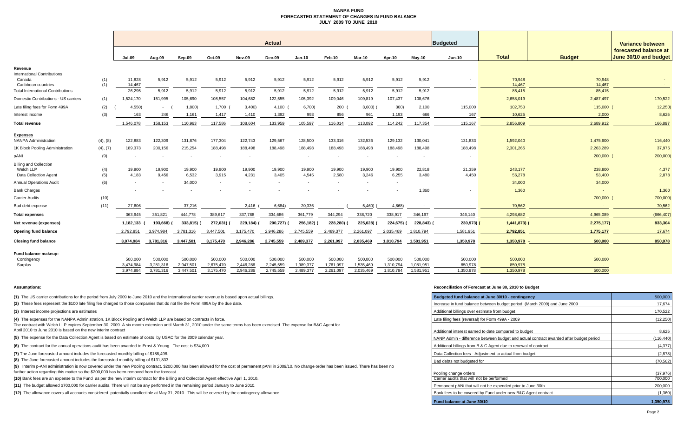#### **NANPA FUND FORECASTED STATEMENT OF CHANGES IN FUND BALANCEJULY 2009 TO JUNE 2010**

|                                                                     |            |                          |                        |                        |                          |                          | <b>Actual</b><br>Budgeted |                          |                        |                        |                        |                          |                      |                      |                      | Variance between                               |  |
|---------------------------------------------------------------------|------------|--------------------------|------------------------|------------------------|--------------------------|--------------------------|---------------------------|--------------------------|------------------------|------------------------|------------------------|--------------------------|----------------------|----------------------|----------------------|------------------------------------------------|--|
|                                                                     |            | Jul-09                   | Aug-09                 | Sep-09                 | Oct-09                   | Nov-09                   | Dec-09                    | $Jan-10$                 | Feb-10                 | Mar-10                 | Apr-10                 | $May-10$                 | <b>Jun-10</b>        | <b>Total</b>         | <b>Budget</b>        | forecasted balance at<br>June 30/10 and budget |  |
| <u>Revenue</u>                                                      |            |                          |                        |                        |                          |                          |                           |                          |                        |                        |                        |                          |                      |                      |                      |                                                |  |
| <b>International Contributions</b><br>Canada<br>Caribbean countries | (1)<br>(1) | 11,828<br>14.467         | 5,912                  | 5,912                  | 5,912                    | 5,912                    | 5,912                     | 5,912                    | 5,912                  | 5,912<br>$\sim$        | 5,912                  | 5,912                    |                      | 70,948<br>14,467     | 70,948<br>14,467     | $\sim$                                         |  |
| <b>Total International Contributions</b>                            |            | 26,295                   | 5,912                  | 5,912                  | 5,912                    | 5,912                    | 5,912                     | 5,912                    | 5,912                  | 5,912                  | 5,912                  | 5,912                    |                      | 85,415               | 85,415               |                                                |  |
| Domestic Contributions - US carriers                                | (1)        | 1,524,170                | 151,995                | 105,690                | 108,557                  | 104,682                  | 122,555                   | 105,392                  | 109,046                | 109,819                | 107,437                | 108,676                  |                      | 2,658,019            | 2,487,497            | 170,522                                        |  |
| Late filing fees for Form 499A                                      | (2)        | 4,550                    | $\sim$                 | 1,800                  | 1,700                    | 3,400                    | 4,100                     | 6,700                    | 200                    | 3,600)                 | 300)                   | 2,100                    | 115,000              | 102,750              | 115,000              | 12,250                                         |  |
| Interest income                                                     | (3)        | 163                      | 246                    | 1,161                  | 1,417                    | 1,410                    | 1,392                     | 993                      | 856                    | 961                    | 1,193                  | 666                      | 167                  | 10,625               | 2,000                | 8,625                                          |  |
| <b>Total revenue</b>                                                |            | 1,546,078                | 158,153                | 110,963                | 117,586                  | 108,604                  | 133,959                   | 105,597                  | 116,014                | 113,092                | 114,242                | 117,354                  | 115,167              | 2,856,809            | 2,689,912            | 166,897                                        |  |
| <b>Expenses</b>                                                     |            |                          |                        |                        |                          |                          |                           |                          |                        |                        |                        |                          |                      |                      |                      |                                                |  |
| <b>NANPA Administration</b><br>1K Block Pooling Administration      | (4), (8)   | 122,883<br>189,373       | 122,309                | 131,876                | 177,304<br>188,498       | 122,743                  | 129,567<br>188,498        | 128,500<br>188,498       | 133,316<br>188,498     | 132,536<br>188,498     | 129,132<br>188,498     | 130,041<br>188,498       | 131,833<br>188,498   | 1,592,040            | 1,475,600            | 116,440<br>37,976                              |  |
|                                                                     | (4), (7)   |                          | 200,156                | 215,254                |                          | 188,498                  |                           |                          |                        |                        |                        |                          |                      | 2,301,265            | 2,263,289<br>200,000 | 200,000                                        |  |
| pANI<br><b>Billing and Collection</b>                               | (9)        |                          |                        |                        | $\overline{\phantom{a}}$ | $\overline{\phantom{a}}$ |                           | $\overline{\phantom{a}}$ |                        | $\sim$                 | $\sim$                 | $\overline{\phantom{a}}$ |                      |                      |                      |                                                |  |
| Welch LLP<br>Data Collection Agent                                  | (4)<br>(5) | 19,900<br>4,183          | 19,900<br>9,456        | 19,900<br>6,532        | 19,900<br>3,915          | 19,900<br>4,231          | 19,900<br>3,405           | 19,900<br>4,545          | 19,900<br>2,580        | 19,900<br>3,246        | 19,900<br>6,255        | 22,818<br>3,480          | 21,359<br>4,450      | 243,177<br>56,278    | 238,800<br>53,400    | 4,377<br>2,878                                 |  |
| <b>Annual Operations Audit</b>                                      | (6)        | $\overline{\phantom{a}}$ |                        | 34,000                 | $\sim$                   |                          |                           |                          |                        | $\sim$                 | $\sim$                 |                          |                      | 34,000               | 34,000               |                                                |  |
| <b>Bank Charges</b>                                                 |            |                          |                        |                        |                          |                          |                           |                          |                        |                        |                        | 1,360                    |                      | 1,360                |                      | 1,360                                          |  |
| Carrier Audits                                                      | (10)       |                          |                        |                        |                          |                          |                           |                          |                        |                        |                        |                          |                      |                      | 700,000              | 700,000)                                       |  |
| Bad debt expense                                                    | (11)       | 27,606                   |                        | 37,216                 |                          | 2,416                    | 6,684)                    | 20,336                   | $\sim$                 | 5,460)                 | 4,868)                 |                          |                      | 70,562               |                      | 70,562                                         |  |
| <b>Total expenses</b>                                               |            | 363,945                  | 351,821                | 444,778                | 389,617                  | 337,788                  | 334,686                   | 361,779                  | 344,294                | 338,720                | 338,917                | 346,197                  | 346,140              | 4,298,682            | 4,965,089            | (666, 407)                                     |  |
| Net revenue (expenses)                                              |            | 1,182,133 (              | 193,668)               | 333,815)               | 272,031)                 | 229,184)                 | 200,727)                  | 256,182)                 | 228,280)               | 225,628)               | 224,675) (             | 228,843)                 | 230,973)             | $1,441,873$ ) (      | 2,275,177)           | 833,304                                        |  |
| <b>Opening fund balance</b>                                         |            | 2,792,851                | 3,974,984              | 3,781,316              | 3,447,501                | 3,175,470                | 2,946,286                 | 2,745,559                | 2,489,377              | 2,261,097              | 2,035,469              | 1,810,794                | 1,581,951            | 2,792,851            | 1,775,177            | 17,674                                         |  |
| <b>Closing fund balance</b>                                         |            | 3,974,984                | 3,781,316              | 3,447,501              | 3,175,470                | 2,946,286                | 2,745,559                 | 2,489,377                | 2,261,097              | 2,035,469              | 1,810,794              | 1,581,951                | 1,350,978            | 1,350,978            | 500,000              | 850,978                                        |  |
| Fund balance makeup:<br>Contingency                                 |            | 500,000                  | 500,000                | 500,000                | 500,000                  | 500,000                  | 500,000                   | 500,000                  | 500,000                | 500,000                | 500,000                | 500,000                  | 500,000              | 500,000              | 500,000              |                                                |  |
| Surplus                                                             |            | 3,474,984<br>3,974,984   | 3,281,316<br>3,781,316 | 2,947,501<br>3,447,501 | 2,675,470<br>3,175,470   | 2,446,286<br>2,946,286   | 2,245,559<br>2,745,559    | 1,989,377<br>2,489,377   | 1,761,097<br>2,261,097 | 1,535,469<br>2,035,469 | 1,310,794<br>1,810,794 | 1,081,951<br>1,581,951   | 850,978<br>1,350,978 | 850,978<br>1,350,978 | 500,000              |                                                |  |

**(1)** The US carrier contributions for the period from July 2009 to June 2010 and the International carrier revenue is based upon actual billings.

(2) These fees represent the \$100 late filing fee charged to those companies that do not file the Form 499A by the due date.

**(3)** Interest income projections are estimates

**(4)** The expenses for the NANPA Administration, 1K Block Pooling and Welch LLP are based on contracts in force. The contract with Welch LLP expires September 30, 2009. A six month extension until March 31, 2010 under the same terms has been exercised. The expense for B&C Agent for April 2010 to June 2010 is based on the new interim contract

**(5)** The expense for the Data Collection Agent is based on estimate of costs by USAC for the 2009 calendar year.

**(6)** The contract for the annual operations audit has been awarded to Ernst & Young. The cost is \$34,000.

**(7)** The June forecasted amount includes the forecasted monthly billing of \$188,498.

**(8)** The June forecasted amount includes the forecasted monthly billing of \$131,833

**(9)** Interim p-ANI administration is now covered under the new Pooling contract. \$200,000 has been allowed for the cost of permanent pANI in 2009/10. No change order has been issued. There has been no further action regarding this matter so the \$200,000 has been removed from the forecast.

(10) Bank fees are an expense to the Fund as per the new interim contract for the Billing and Collection Agent effective April 1, 2010.

**(11)** The budget allowed \$700,000 for carrier audits. There will not be any performed in the remaining period January to June 2010.

**(12)** The allowance covers all accounts considered potentially uncollectible at May 31, 2010. This will be covered by the contingency allowance.

#### **Assumptions: Reconciliation of Forecast at June 30, 2010 to Budget**

| Budgeted fund balance at June 30/10 - contingency                                      | 500,000              |
|----------------------------------------------------------------------------------------|----------------------|
| Increase in fund balance between budget period (March 2009) and June 2009              | 17,674               |
| Additional billings over estimate from budget                                          | 170,522              |
| Late filing fees (reversal) for Form 499A - 2009                                       | (12, 250)            |
| Additional interest earned to date compared to budget                                  | 8,625                |
| NANP Admin - difference between budget and actual contract awarded after budget period | (116, 440)           |
| Additional billings from B & C Agent due to renewal of contract                        | (4, 377)             |
| Data Collection fees - Adjustment to actual from budget                                | (2,878)              |
| Bad debts not budgeted for                                                             | (70, 562)            |
| Pooling change orders<br>Carrier audits that will not be performed                     | (37, 976)<br>700,000 |
| Permanent pANi that will not be expended prior to June 30th.                           | 200,000              |
| Bank fees to be covered by Fund under new B&C Agent contract                           | (1,360)              |
| Fund balance at June 30/10                                                             | 1.350.978            |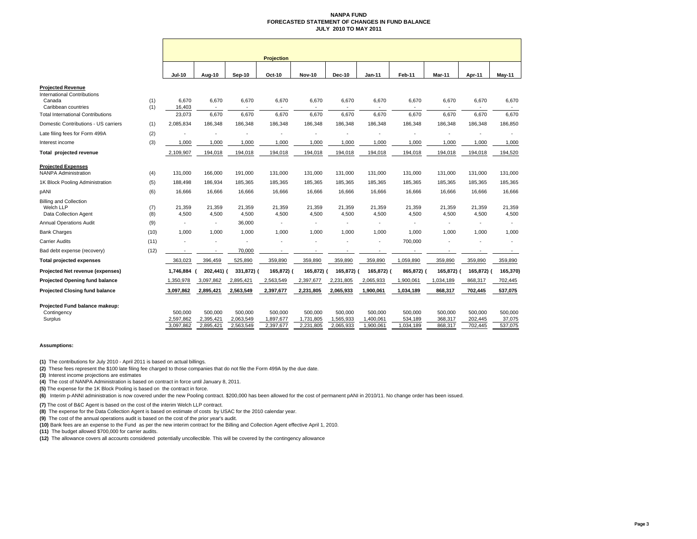#### **NANPA FUND FORECASTED STATEMENT OF CHANGES IN FUND BALANCEJULY 2010 TO MAY 2011**

|                                                                     |            |                                   |                                   |                                   | <b>Projection</b>                 |                                   |                                   |                                   |                                 |                               |                               |                              |
|---------------------------------------------------------------------|------------|-----------------------------------|-----------------------------------|-----------------------------------|-----------------------------------|-----------------------------------|-----------------------------------|-----------------------------------|---------------------------------|-------------------------------|-------------------------------|------------------------------|
|                                                                     |            | <b>Jul-10</b>                     | Aug-10                            | Sep-10                            | Oct-10                            | <b>Nov-10</b>                     | <b>Dec-10</b>                     | Jan-11                            | Feb-11                          | Mar-11                        | Apr-11                        | May-11                       |
| <b>Projected Revenue</b>                                            |            |                                   |                                   |                                   |                                   |                                   |                                   |                                   |                                 |                               |                               |                              |
| <b>International Contributions</b><br>Canada                        | (1)        | 6,670                             | 6,670                             | 6,670                             | 6,670                             | 6,670                             | 6,670                             | 6,670                             | 6,670                           | 6,670                         | 6,670                         | 6,670                        |
| Caribbean countries                                                 | (1)        | 16,403                            | $\sim$                            |                                   |                                   |                                   |                                   |                                   |                                 |                               |                               |                              |
| <b>Total International Contributions</b>                            |            | 23,073                            | 6,670                             | 6,670                             | 6,670                             | 6,670                             | 6,670                             | 6,670                             | 6,670                           | 6,670                         | 6,670                         | 6,670                        |
| Domestic Contributions - US carriers                                | (1)        | 2,085,834                         | 186,348                           | 186,348                           | 186,348                           | 186,348                           | 186,348                           | 186,348                           | 186,348                         | 186,348                       | 186,348                       | 186,850                      |
| Late filing fees for Form 499A                                      | (2)        |                                   |                                   |                                   |                                   |                                   |                                   |                                   |                                 |                               |                               |                              |
| Interest income                                                     | (3)        | 1,000                             | 1,000                             | 1,000                             | 1,000                             | 1,000                             | 1,000                             | 1,000                             | 1,000                           | 1,000                         | 1,000                         | 1,000                        |
| Total projected revenue                                             |            | 2,109,907                         | 194,018                           | 194,018                           | 194,018                           | 194,018                           | 194,018                           | 194,018                           | 194,018                         | 194,018                       | 194,018                       | 194,520                      |
| <b>Projected Expenses</b>                                           |            |                                   |                                   |                                   |                                   |                                   |                                   |                                   |                                 |                               |                               |                              |
| <b>NANPA Administration</b>                                         | (4)        | 131,000                           | 166,000                           | 191,000                           | 131,000                           | 131,000                           | 131,000                           | 131,000                           | 131,000                         | 131,000                       | 131,000                       | 131,000                      |
| 1K Block Pooling Administration                                     | (5)        | 188,498                           | 186,934                           | 185,365                           | 185,365                           | 185,365                           | 185,365                           | 185,365                           | 185,365                         | 185,365                       | 185,365                       | 185,365                      |
| pANI                                                                | (6)        | 16,666                            | 16,666                            | 16,666                            | 16,666                            | 16,666                            | 16,666                            | 16,666                            | 16,666                          | 16,666                        | 16,666                        | 16,666                       |
| <b>Billing and Collection</b><br>Welch LLP<br>Data Collection Agent | (7)<br>(8) | 21,359<br>4,500                   | 21,359<br>4,500                   | 21,359<br>4,500                   | 21,359<br>4,500                   | 21,359<br>4,500                   | 21,359<br>4,500                   | 21,359<br>4,500                   | 21,359<br>4,500                 | 21,359<br>4,500               | 21,359<br>4,500               | 21,359<br>4,500              |
| <b>Annual Operations Audit</b>                                      | (9)        |                                   |                                   | 36,000                            | $\sim$                            | $\overline{\phantom{a}}$          |                                   |                                   |                                 |                               | ä,                            |                              |
| <b>Bank Charges</b>                                                 | (10)       | 1,000                             | 1,000                             | 1,000                             | 1,000                             | 1,000                             | 1,000                             | 1,000                             | 1,000                           | 1,000                         | 1,000                         | 1,000                        |
| Carrier Audits                                                      | (11)       |                                   |                                   |                                   |                                   |                                   |                                   |                                   | 700,000                         |                               |                               |                              |
| Bad debt expense (recovery)                                         | (12)       | $\sim$                            |                                   | 70,000                            |                                   |                                   |                                   |                                   |                                 |                               |                               |                              |
| <b>Total projected expenses</b>                                     |            | 363,023                           | 396,459                           | 525,890                           | 359,890                           | 359,890                           | 359,890                           | 359,890                           | 1,059,890                       | 359,890                       | 359,890                       | 359,890                      |
| Projected Net revenue (expenses)                                    |            | 1,746,884                         | 202,441) (                        | 331,872) (                        | 165,872) (                        | 165,872) (                        | 165,872) (                        | 165,872) (                        | 865,872) (                      | 165,872) (                    | 165,872)                      | 165,370)                     |
| <b>Projected Opening fund balance</b>                               |            | 1,350,978                         | 3,097,862                         | 2,895,421                         | 2,563,549                         | 2,397,677                         | 2,231,805                         | 2,065,933                         | 1,900,061                       | 1,034,189                     | 868,317                       | 702,445                      |
| Projected Closing fund balance                                      |            | 3,097,862                         | 2,895,421                         | 2,563,549                         | 2,397,677                         | 2,231,805                         | 2,065,933                         | 1,900,061                         | 1,034,189                       | 868,317                       | 702,445                       | 537,075                      |
| Projected Fund balance makeup:                                      |            |                                   |                                   |                                   |                                   |                                   |                                   |                                   |                                 |                               |                               |                              |
| Contingency<br>Surplus                                              |            | 500.000<br>2,597,862<br>3,097,862 | 500.000<br>2,395,421<br>2,895,421 | 500,000<br>2,063,549<br>2,563,549 | 500.000<br>1,897,677<br>2,397,677 | 500.000<br>1,731,805<br>2,231,805 | 500.000<br>1,565,933<br>2,065,933 | 500.000<br>1,400,061<br>1,900,061 | 500,000<br>534,189<br>1,034,189 | 500,000<br>368,317<br>868,317 | 500,000<br>202,445<br>702.445 | 500,000<br>37,075<br>537,075 |

#### **Assumptions:**

**(1)** The contributions for July 2010 - April 2011 is based on actual billings.

**(2)** These fees represent the \$100 late filing fee charged to those companies that do not file the Form 499A by the due date.

**(3)** Interest income projections are estimates

**(4)** The cost of NANPA Administration is based on contract in force until January 8, 2011.

**(5)** The expense for the 1K Block Pooling is based on the contract in force.

**(6)** Interim p-ANNI administration is now covered under the new Pooling contract. \$200,000 has been allowed for the cost of permanent pANI in 2010/11. No change order has been issued.

**(7)** The cost of B&C Agent is based on the cost of the interim Welch LLP contract.

**(8)** The expense for the Data Collection Agent is based on estimate of costs by USAC for the 2010 calendar year.

**(9)** The cost of the annual operations audit is based on the cost of the prior year's audit.

**(10)** Bank fees are an expense to the Fund as per the new interim contract for the Billing and Collection Agent effective April 1, 2010.

**(11)** The budget allowed \$700,000 for carrier audits.

**(12)** The allowance covers all accounts considered potentially uncollectible. This will be covered by the contingency allowance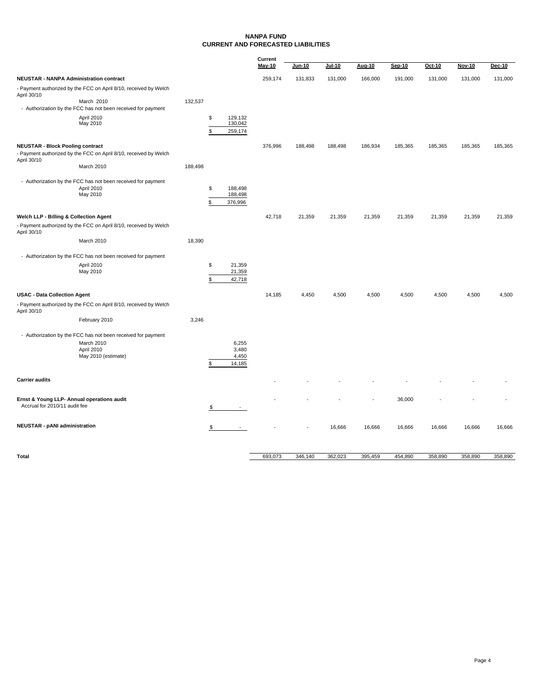#### **NANPA FUND CURRENT AND FORECASTED LIABILITIES**

|                                                                                                                            |         |                                           | Current |               |               |         |         |         |               |               |
|----------------------------------------------------------------------------------------------------------------------------|---------|-------------------------------------------|---------|---------------|---------------|---------|---------|---------|---------------|---------------|
|                                                                                                                            |         |                                           | May-10  | <b>Jun-10</b> | <b>Jul-10</b> | Aug-10  | Sep-10  | Oct-10  | <b>Nov-10</b> | <b>Dec-10</b> |
| <b>NEUSTAR - NANPA Administration contract</b>                                                                             |         |                                           | 259,174 | 131,833       | 131,000       | 166,000 | 191,000 | 131,000 | 131,000       | 131,000       |
| - Payment authorized by the FCC on April 8/10, received by Welch<br>April 30/10                                            |         |                                           |         |               |               |         |         |         |               |               |
| March 2010<br>- Authorization by the FCC has not been received for payment                                                 | 132,537 |                                           |         |               |               |         |         |         |               |               |
| April 2010<br>May 2010                                                                                                     |         | \$<br>129.132<br>130,042                  |         |               |               |         |         |         |               |               |
|                                                                                                                            |         | \$<br>259,174                             |         |               |               |         |         |         |               |               |
| <b>NEUSTAR - Block Pooling contract</b><br>- Payment authorized by the FCC on April 8/10, received by Welch<br>April 30/10 |         |                                           | 376,996 | 188,498       | 188,498       | 186,934 | 185,365 | 185,365 | 185,365       | 185,365       |
| March 2010                                                                                                                 | 188,498 |                                           |         |               |               |         |         |         |               |               |
| - Authorization by the FCC has not been received for payment<br>April 2010<br>May 2010                                     |         | \$<br>188,498<br>188,498<br>376,996<br>\$ |         |               |               |         |         |         |               |               |
| Welch LLP - Billing & Collection Agent                                                                                     |         |                                           | 42,718  | 21,359        | 21,359        | 21,359  | 21,359  | 21,359  | 21,359        | 21,359        |
| - Payment authorized by the FCC on April 8/10, received by Welch<br>April 30/10                                            |         |                                           |         |               |               |         |         |         |               |               |
| March 2010                                                                                                                 | 18,390  |                                           |         |               |               |         |         |         |               |               |
| - Authorization by the FCC has not been received for payment                                                               |         |                                           |         |               |               |         |         |         |               |               |
| April 2010                                                                                                                 |         | \$<br>21,359                              |         |               |               |         |         |         |               |               |
| May 2010                                                                                                                   |         | 21,359<br>42,718<br>\$.                   |         |               |               |         |         |         |               |               |
| <b>USAC - Data Collection Agent</b>                                                                                        |         |                                           | 14,185  | 4,450         | 4,500         | 4,500   | 4,500   | 4,500   | 4,500         | 4,500         |
| - Payment authorized by the FCC on April 8/10, received by Welch<br>April 30/10                                            |         |                                           |         |               |               |         |         |         |               |               |
| February 2010                                                                                                              | 3,246   |                                           |         |               |               |         |         |         |               |               |
| - Authorization by the FCC has not been received for payment<br>March 2010<br>April 2010<br>May 2010 (estimate)            |         | 6,255<br>3,480<br>4,450<br>14,185         |         |               |               |         |         |         |               |               |
| <b>Carrier audits</b>                                                                                                      |         |                                           |         |               |               |         |         |         |               |               |
|                                                                                                                            |         |                                           |         |               |               |         |         |         |               |               |
| Ernst & Young LLP- Annual operations audit<br>Accrual for 2010/11 audit fee                                                |         |                                           |         |               |               |         | 36,000  |         |               |               |
| <b>NEUSTAR - pANI administration</b>                                                                                       |         | \$                                        |         |               | 16,666        | 16,666  | 16,666  | 16,666  | 16,666        | 16,666        |
|                                                                                                                            |         |                                           |         |               |               |         |         |         |               |               |

| Total | 693,073 | 346.140 | 362.023 | 395.459 | 454.890 | 358.890 | 358,890 | 358,890 |
|-------|---------|---------|---------|---------|---------|---------|---------|---------|